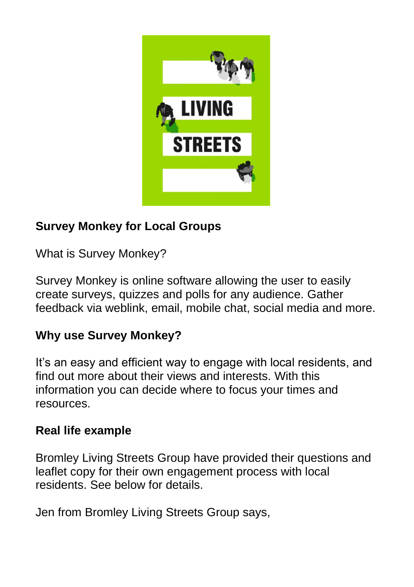

# **Survey Monkey for Local Groups**

What is Survey Monkey?

Survey Monkey is online software allowing the user to easily create surveys, quizzes and polls for any audience. Gather feedback via weblink, email, mobile chat, social media and more.

## **Why use Survey Monkey?**

It's an easy and efficient way to engage with local residents, and find out more about their views and interests. With this information you can decide where to focus your times and resources.

## **Real life example**

Bromley Living Streets Group have provided their questions and leaflet copy for their own engagement process with local residents. See below for details.

Jen from Bromley Living Streets Group says,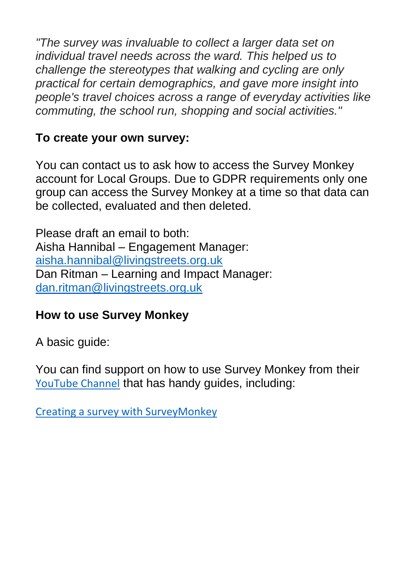*"The survey was invaluable to collect a larger data set on individual travel needs across the ward. This helped us to challenge the stereotypes that walking and cycling are only practical for certain demographics, and gave more insight into people's travel choices across a range of everyday activities like commuting, the school run, shopping and social activities."*

#### **To create your own survey:**

You can contact us to ask how to access the Survey Monkey account for Local Groups. Due to GDPR requirements only one group can access the Survey Monkey at a time so that data can be collected, evaluated and then deleted.

Please draft an email to both: Aisha Hannibal – Engagement Manager: [aisha.hannibal@livingstreets.org.uk](mailto:aisha.hannibal@livingstreets.org.uk) Dan Ritman – Learning and Impact Manager: [dan.ritman@livingstreets.org.uk](mailto:dan.ritman@livingstreets.org.uk)

## **How to use Survey Monkey**

A basic guide:

You can find support on how to use Survey Monkey from their [YouTube Channel](https://www.youtube.com/playlist?list=PLiTGWc0Er5wfwZeH8ek9-LUvqImcCAy3x) that has handy guides, including:

[Creating a survey with SurveyMonkey](https://www.youtube.com/watch?v=7xdCDJxxoRk)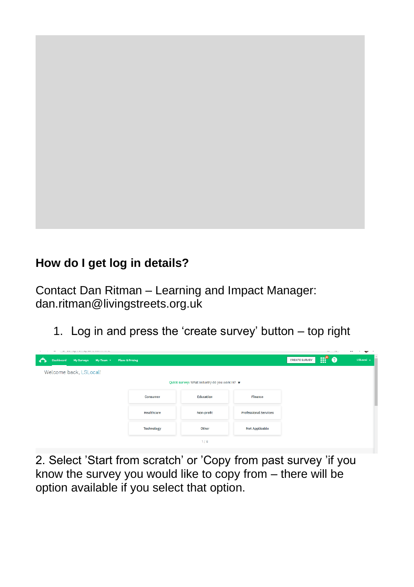### **How do I get log in details?**

Contact Dan Ritman – Learning and Impact Manager: [dan.ritman@livingstreets.org.uk](mailto:dan.ritman@livingstreets.org.uk)

1. Log in and press the 'create survey' button – top right



2. Select 'Start from scratch' or 'Copy from past survey 'if you know the survey you would like to copy from – there will be option available if you select that option.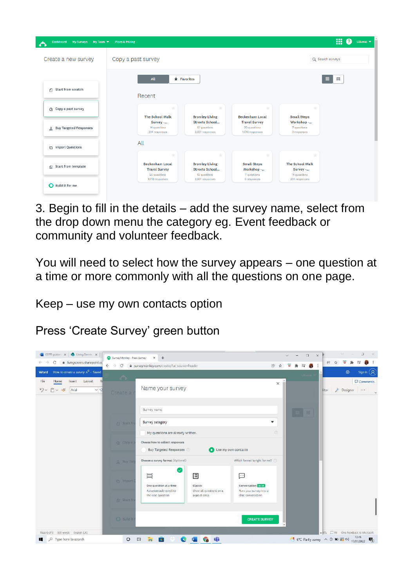| Dashboard My Surveys My Team =<br>◠ | <b>Plans &amp; Pricing</b>                                                      |                                                              |                                                         |                                                  | 冊<br>0           | LSLocal $\blacktriangledown$ |
|-------------------------------------|---------------------------------------------------------------------------------|--------------------------------------------------------------|---------------------------------------------------------|--------------------------------------------------|------------------|------------------------------|
| Create a new survey                 | Copy a past survey                                                              |                                                              |                                                         |                                                  | Q Search surveys |                              |
|                                     | All                                                                             | * Favorites                                                  |                                                         |                                                  | $\equiv$<br>田    |                              |
| Start from scratch<br>n             | Recent                                                                          |                                                              |                                                         |                                                  |                  |                              |
| ch Copy a past survey               | ÷<br><b>The School Walk</b>                                                     | $\div$<br><b>Bromley Living</b>                              | ÷<br><b>Beckenham Local</b>                             | ÷<br><b>Small Steps</b>                          |                  |                              |
| & Buy Targeted Responses            | Survey -<br>14 questions<br>234 responses                                       | Streets School<br>12 questions<br>2,831 responses            | <b>Travel Survey</b><br>20 questions<br>1,018 responses | Workshop -<br>7 quastions<br>0 responses         |                  |                              |
| m Import Questions                  | All                                                                             |                                                              |                                                         |                                                  |                  |                              |
| Start from template<br>闹            | $\frac{1}{2}$<br><b>Beckenham Local</b><br><b>Travel Survey</b><br>20 questions | ÷<br><b>Bromley Living</b><br>Streets School<br>12 questions | ÷<br><b>Small Steps</b><br>Workshop -<br>7 ouestions    | ÷<br>The School Walk<br>Survey -<br>14 questions |                  |                              |
| Build it for me                     | 1,018 responses                                                                 | 2,831 responses                                              | O responses                                             | 234 responses                                    |                  |                              |

3. Begin to fill in the details – add the survey name, select from the drop down menu the category eg. Event feedback or community and volunteer feedback.

You will need to select how the survey appears – one question at a time or more commonly with all the questions on one page.

Keep – use my own contacts option

Press 'Create Survey' green button

| GDPR guiden: x   0 Living Streets x<br>C<br>· livingstreets.sharepoint.cc<br>₿<br>$\leftarrow$ $\rightarrow$ C<br>How to create a survey R <sup>R</sup> - Saved<br>Word<br>File<br>Layout<br>Home<br>Insert | SurveyMonkey - New Survey<br>$\times$<br>$+$<br>surveymonkey.com/create/?ut_source=header         | 2 全<br>$\times$                                   | $\Box$<br>$\times$<br>★ 可 曲<br>$\overline{u}$ | $\alpha$<br>$\sim$<br>$\times$<br>@ ☆<br>ভ<br>寿<br>$\equiv$<br>Sign in $\left( \mathsf{R}\right)$<br>Ø<br>Comments |
|-------------------------------------------------------------------------------------------------------------------------------------------------------------------------------------------------------------|---------------------------------------------------------------------------------------------------|---------------------------------------------------|-----------------------------------------------|--------------------------------------------------------------------------------------------------------------------|
| m<br>$\times$<br>Arial<br>$\times$ 12<br>Create a                                                                                                                                                           | Name your survey                                                                                  |                                                   |                                               | <b>Designer</b><br>$\cdots$<br>litor                                                                               |
| <b>Start fr</b>                                                                                                                                                                                             | Survey name<br>Survey category<br>My questions are already written.                               | ۰<br>(2)                                          | 圖                                             |                                                                                                                    |
| <b>Gi Gopy</b> 系                                                                                                                                                                                            | Choose how to collect responses<br>Buy Targeted Responses<br>m                                    | Use my own contacts                               |                                               |                                                                                                                    |
| S. Buy Tar                                                                                                                                                                                                  | Choose a survey format (Optional)                                                                 | Which format is right for me?                     |                                               |                                                                                                                    |
| <b>inport</b>                                                                                                                                                                                               | 眉<br>巪<br>One question at a time<br>Classic<br>Automatically scroll to<br>Show all questions on a | ▣<br>Conversation BETA<br>Tune your survey into a |                                               |                                                                                                                    |
| <b>SI Start fr</b>                                                                                                                                                                                          | the next question<br>page at once                                                                 | chat conversation                                 |                                               |                                                                                                                    |
| <b>O</b> Bulld it                                                                                                                                                                                           |                                                                                                   | <b>CREATE SURVEY</b>                              |                                               |                                                                                                                    |
| Page 6 of 6 829 words English (UK)<br>$\rho$ Type here to search                                                                                                                                            | 市<br>$\circ$<br>口<br>$\bullet$<br>e<br>is.<br>ъ                                                   |                                                   |                                               | - 0% IT Fit Give Feedback to Microsoft<br>巪                                                                        |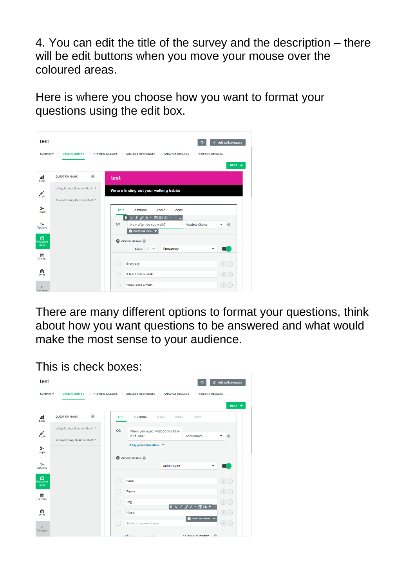4. You can edit the title of the survey and the description – there will be edit buttons when you move your mouse over the coloured areas.

Here is where you choose how you want to format your questions using the edit box.



There are many different options to format your questions, think about how you want questions to be answered and what would make the most sense to your audience.

This is check boxes:

| <b>SUMMARY</b>         | $\rightarrow$                  |         |                | DESIGN SURVEY $\rightarrow$ PREVIEW & SCORE $\rightarrow$ COLLECT RESPONSES $\rightarrow$ |             | ANALYZE RESULTS ->                                   | <b>PRESENT RESULTS</b> |
|------------------------|--------------------------------|---------|----------------|-------------------------------------------------------------------------------------------|-------------|------------------------------------------------------|------------------------|
|                        |                                |         |                |                                                                                           |             |                                                      | NEXT $\rightarrow$     |
| 盡                      | <b>OUESTION BANK</b>           | $\odot$ | <b>EDIT</b>    | <b>OPTIONS</b>                                                                            | LOGIC       | MOVE<br>COPY                                         |                        |
|                        | Living Streets Question Bank > |         | O <sub>2</sub> | When you walk, what do you take                                                           |             |                                                      |                        |
| $\mathscr{O}$<br>Style | SurveyMonkey Question Bank >   |         |                | with you?                                                                                 |             | Checkboxes                                           | 0                      |
| $\frac{3}{\log 6}$     |                                |         |                | 6 Suggested Questions V                                                                   |             |                                                      |                        |
|                        |                                |         |                | Answer Genius @                                                                           |             |                                                      |                        |
| Options                |                                |         |                |                                                                                           | Select type |                                                      |                        |
|                        |                                |         |                | Water                                                                                     |             |                                                      |                        |
| Question<br>Bank       |                                |         | □              |                                                                                           |             |                                                      | $\oplus$               |
|                        |                                |         | ۰              | Phone                                                                                     |             |                                                      | $\oplus$               |
| Format                 |                                |         | г              | Dog                                                                                       |             | $B \vee I \not\rightarrow A \vee B \square B \wedge$ | $\oplus$               |
| 。<br>Print             |                                |         | С              | Music                                                                                     |             |                                                      | $\oplus$               |
|                        |                                |         |                | Enter an answer choice                                                                    |             | <b>O</b> Insert text from                            | $\oplus$ $\oplus$      |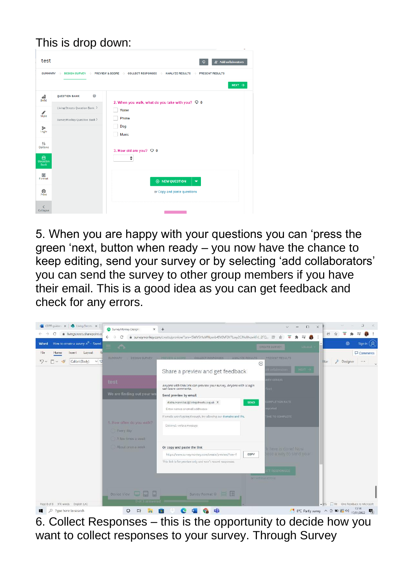This is drop down:

| test                         |                                                               | & Add collaborators                                                                                                         |
|------------------------------|---------------------------------------------------------------|-----------------------------------------------------------------------------------------------------------------------------|
| <b>SUMMARY</b>               | DESIGN SURVEY - PREVIEW & SCORE<br>$\rightarrow$              | $\rightarrow$ COLLECT RESPONSES $\rightarrow$ ANALYZE RESULTS $\rightarrow$<br><b>PRESENT RESULTS</b><br>NEXT $\rightarrow$ |
| له<br>Build                  | 0<br><b>QUESTION BANK</b>                                     | 2. When you walk, what do you take with you? Q 0                                                                            |
| $\mathcal{J}_{\text{style}}$ | Living Streets Question Bank ><br>SurveyMonkey Question Bank> | Water<br>Phone                                                                                                              |
| g.<br>Logic                  |                                                               | Dog<br>Music                                                                                                                |
| $\ddagger$<br>Options        |                                                               | 3. How old are you? $\heartsuit$ 0                                                                                          |
| $\bigoplus$ Question<br>Bank |                                                               | ¢                                                                                                                           |
| Е<br>Format                  |                                                               | <b>E</b> NEW QUESTION<br>$\overline{\phantom{0}}$                                                                           |
| $\mathcal{D}_{\text{rint}}$  |                                                               | or Copy and paste questions                                                                                                 |
| K<br>Collapse                |                                                               |                                                                                                                             |

5. When you are happy with your questions you can 'press the green 'next, button when ready – you now have the chance to keep editing, send your survey or by selecting 'add collaborators' you can send the survey to other group members if you have their email. This is a good idea as you can get feedback and check for any errors.



6. Collect Responses – this is the opportunity to decide how you want to collect responses to your survey. Through Survey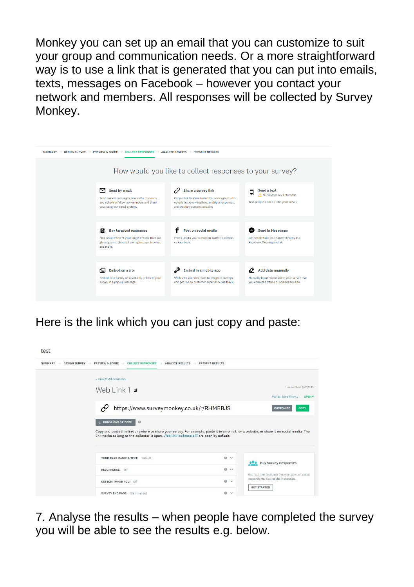Monkey you can set up an email that you can customize to suit your group and communication needs. Or a more straightforward way is to use a link that is generated that you can put into emails, texts, messages on Facebook – however you contact your network and members. All responses will be collected by Survey Monkey.

| <b>DESIGN SURVEY</b><br><b>SUMMARY</b> | <b>PREVIEW &amp; SCORE</b><br><b>ECT RESPONSES</b>                                                                                             | <b>ANALYZE RESULTS</b><br><b>PRESENT RESULTS</b>                                                                                                           |                                                                                                                    |  |  |
|----------------------------------------|------------------------------------------------------------------------------------------------------------------------------------------------|------------------------------------------------------------------------------------------------------------------------------------------------------------|--------------------------------------------------------------------------------------------------------------------|--|--|
|                                        | How would you like to collect responses to your survey?                                                                                        |                                                                                                                                                            |                                                                                                                    |  |  |
|                                        | Send by email<br>≂<br>Send custom messages, track who responds.<br>and schedule follow-up reminders and thank<br>yous using our email system.  | Share a survey link<br>Copy a link to share instantly-works great with<br>scheduling recurring links, multiple responses,<br>and tracking custom variables | Send a text<br>口<br>A SurveyMonkey Enterprise<br>Text people a link to take your survey.                           |  |  |
|                                        | 恖<br>Buy targeted responses<br>Find people who fit your target criteria from our<br>stobal panel-choose from resion, axe, income,<br>and more. | Post on social media<br>Post a link to your survey on Twitter, Linkedin,<br>or Facebook.                                                                   | Send in Messenger<br>Let people take your survey directly in a<br>Facebook Messenger chat.                         |  |  |
|                                        | 旧<br>Embed on a site<br>Embed your survey on a website, or link to your<br>survey in a pop-up message.                                         | Embed in a mobile app<br>Work with your doy toam to integrate surveys<br>and get in-app customer experience feedback.                                      | ℴ<br>Add data manually<br>Manually input responses to your survey that<br>you collected offline or somewhere else. |  |  |

Here is the link which you can just copy and paste:



7. Analyse the results – when people have completed the survey you will be able to see the results e.g. below.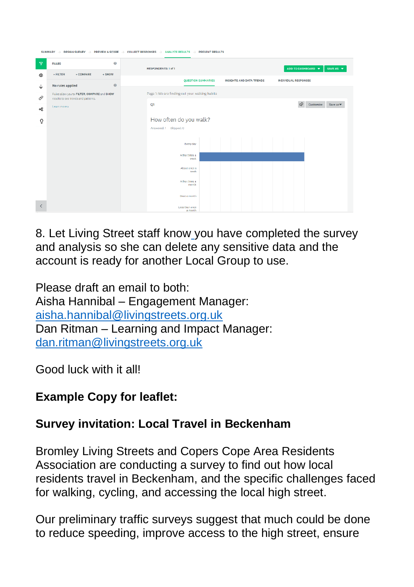| SUMMARY $\rightarrow$ DESIGN SURVEY $\rightarrow$ PREVIEW & SCORE $\rightarrow$ COLLECT RESPONSES $\rightarrow$ ANALYZE RESULTS $\rightarrow$ PRESENT RESULTS |                                             |                                                                                             |  |  |  |  |  |  |
|---------------------------------------------------------------------------------------------------------------------------------------------------------------|---------------------------------------------|---------------------------------------------------------------------------------------------|--|--|--|--|--|--|
| $\overline{Y}$                                                                                                                                                | $\boldsymbol{\Theta}$<br><b>RULES</b>       | ADD TO DASHBOARD V<br>SAVE AS $\blacktriangledown$<br>RESPONDENTS: 1 of 1                   |  |  |  |  |  |  |
| $^{\circ}$                                                                                                                                                    | $+$ FILTER<br>+ COMPARE<br>$+$ SHOW         |                                                                                             |  |  |  |  |  |  |
| ↓                                                                                                                                                             | $\odot$<br>No rules applied                 | <b>QUESTION SUMMARIES</b><br><b>INSIGHTS AND DATA TRENDS</b><br><b>INDIVIDUAL RESPONSES</b> |  |  |  |  |  |  |
|                                                                                                                                                               | Rules allow you to FILTER, COMPARE and SHOW | Page 1: We are finding out your walking habits                                              |  |  |  |  |  |  |
| 0                                                                                                                                                             | results to see trends and patterns.         | ♦<br>Customize<br>Save as w                                                                 |  |  |  |  |  |  |
| ఙ                                                                                                                                                             | Learn more »                                | Q1                                                                                          |  |  |  |  |  |  |
| Ō                                                                                                                                                             |                                             | How often do you walk?                                                                      |  |  |  |  |  |  |
|                                                                                                                                                               |                                             | Answered: 1 Skipped: 0                                                                      |  |  |  |  |  |  |
|                                                                                                                                                               |                                             |                                                                                             |  |  |  |  |  |  |
|                                                                                                                                                               |                                             | Every day                                                                                   |  |  |  |  |  |  |
|                                                                                                                                                               |                                             | A few times a                                                                               |  |  |  |  |  |  |
|                                                                                                                                                               |                                             | week                                                                                        |  |  |  |  |  |  |
|                                                                                                                                                               |                                             | About once a<br>week                                                                        |  |  |  |  |  |  |
|                                                                                                                                                               |                                             |                                                                                             |  |  |  |  |  |  |
|                                                                                                                                                               |                                             | A few times a<br>month                                                                      |  |  |  |  |  |  |
|                                                                                                                                                               |                                             | Once a month                                                                                |  |  |  |  |  |  |
|                                                                                                                                                               |                                             |                                                                                             |  |  |  |  |  |  |
| ≺                                                                                                                                                             |                                             | Less than once<br>a month                                                                   |  |  |  |  |  |  |

8. Let Living Street staff kno[w](mailto:aisha.hannibal@livingstreets.org.uk) you have completed the survey and analysis so she can delete any sensitive data and the account is ready for another Local Group to use.

Please draft an email to both: Aisha Hannibal – Engagement Manager: [aisha.hannibal@livingstreets.org.uk](mailto:aisha.hannibal@livingstreets.org.uk) Dan Ritman – Learning and Impact Manager: [dan.ritman@livingstreets.org.uk](mailto:dan.ritman@livingstreets.org.uk)

Good luck with it all!

## **Example Copy for leaflet:**

## **Survey invitation: Local Travel in Beckenham**

Bromley Living Streets and Copers Cope Area Residents Association are conducting a survey to find out how local residents travel in Beckenham, and the specific challenges faced for walking, cycling, and accessing the local high street.

Our preliminary traffic surveys suggest that much could be done to reduce speeding, improve access to the high street, ensure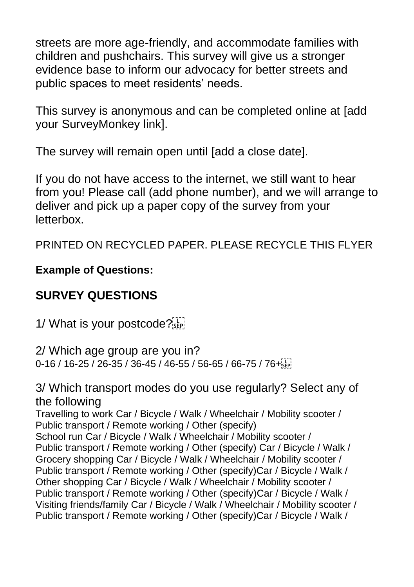streets are more age-friendly, and accommodate families with children and pushchairs. This survey will give us a stronger evidence base to inform our advocacy for better streets and public spaces to meet residents' needs.

This survey is anonymous and can be completed online at ladd your SurveyMonkey link].

The survey will remain open until [add a close date].

If you do not have access to the internet, we still want to hear from you! Please call (add phone number), and we will arrange to deliver and pick up a paper copy of the survey from your letterbox.

PRINTED ON RECYCLED PAPER. PLEASE RECYCLE THIS FLYER

#### **Example of Questions:**

## **SURVEY QUESTIONS**

1/ What is your postcode?

2/ Which age group are you in? 0-16 / 16-25 / 26-35 / 36-45 / 46-55 / 56-65 / 66-75 / 76+

3/ Which transport modes do you use regularly? Select any of the following Travelling to work Car / Bicycle / Walk / Wheelchair / Mobility scooter / Public transport / Remote working / Other (specify) School run Car / Bicycle / Walk / Wheelchair / Mobility scooter / Public transport / Remote working / Other (specify) Car / Bicycle / Walk / Grocery shopping Car / Bicycle / Walk / Wheelchair / Mobility scooter / Public transport / Remote working / Other (specify)Car / Bicycle / Walk / Other shopping Car / Bicycle / Walk / Wheelchair / Mobility scooter / Public transport / Remote working / Other (specify)Car / Bicycle / Walk / Visiting friends/family Car / Bicycle / Walk / Wheelchair / Mobility scooter / Public transport / Remote working / Other (specify)Car / Bicycle / Walk /